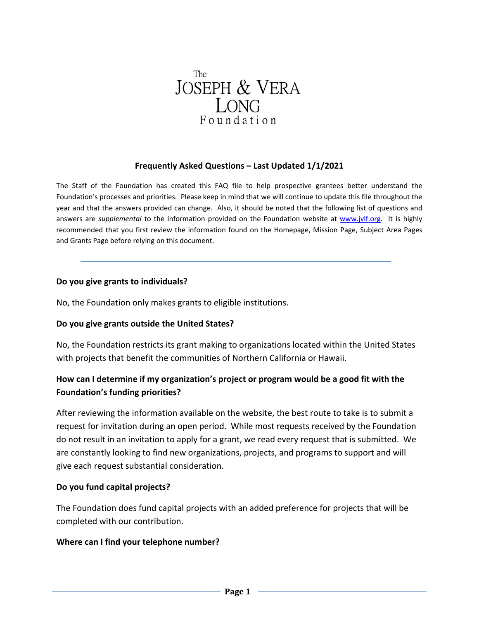

### **Frequently Asked Questions – Last Updated 1/1/2021**

The Staff of the Foundation has created this FAQ file to help prospective grantees better understand the Foundation's processes and priorities. Please keep in mind that we will continue to update this file throughout the year and that the answers provided can change. Also, it should be noted that the following list of questions and answers are *supplemental* to the information provided on the Foundation website at [www.jvlf.org.](http://www.jvlf.org/) It is highly recommended that you first review the information found on the Homepage, Mission Page, Subject Area Pages and Grants Page before relying on this document.

### **Do you give grants to individuals?**

No, the Foundation only makes grants to eligible institutions.

### **Do you give grants outside the United States?**

No, the Foundation restricts its grant making to organizations located within the United States with projects that benefit the communities of Northern California or Hawaii.

# **How can I determine if my organization's project or program would be a good fit with the Foundation's funding priorities?**

After reviewing the information available on the website, the best route to take is to submit a request for invitation during an open period. While most requests received by the Foundation do not result in an invitation to apply for a grant, we read every request that is submitted. We are constantly looking to find new organizations, projects, and programs to support and will give each request substantial consideration.

### **Do you fund capital projects?**

The Foundation does fund capital projects with an added preference for projects that will be completed with our contribution.

### **Where can I find your telephone number?**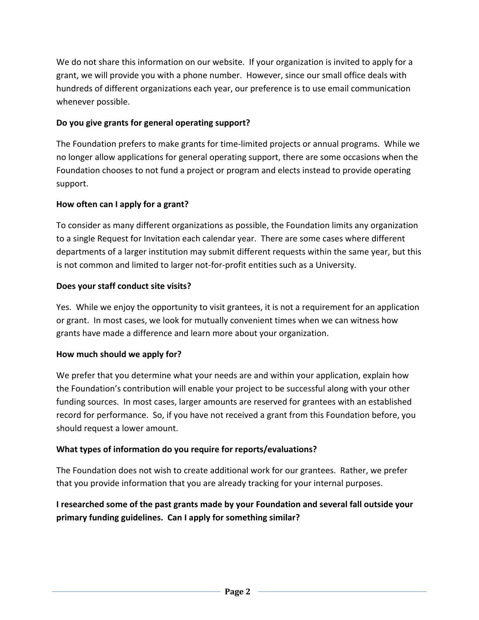We do not share this information on our website. If your organization is invited to apply for a grant, we will provide you with a phone number. However, since our small office deals with hundreds of different organizations each year, our preference is to use email communication whenever possible.

# **Do you give grants for general operating support?**

The Foundation prefers to make grants for time-limited projects or annual programs. While we no longer allow applications for general operating support, there are some occasions when the Foundation chooses to not fund a project or program and elects instead to provide operating support.

## **How often can I apply for a grant?**

To consider as many different organizations as possible, the Foundation limits any organization to a single Request for Invitation each calendar year. There are some cases where different departments of a larger institution may submit different requests within the same year, but this is not common and limited to larger not-for-profit entities such as a University.

## **Does your staff conduct site visits?**

Yes. While we enjoy the opportunity to visit grantees, it is not a requirement for an application or grant. In most cases, we look for mutually convenient times when we can witness how grants have made a difference and learn more about your organization.

## **How much should we apply for?**

We prefer that you determine what your needs are and within your application, explain how the Foundation's contribution will enable your project to be successful along with your other funding sources. In most cases, larger amounts are reserved for grantees with an established record for performance. So, if you have not received a grant from this Foundation before, you should request a lower amount.

# **What types of information do you require for reports/evaluations?**

The Foundation does not wish to create additional work for our grantees. Rather, we prefer that you provide information that you are already tracking for your internal purposes.

# **I researched some of the past grants made by your Foundation and several fall outside your primary funding guidelines. Can I apply for something similar?**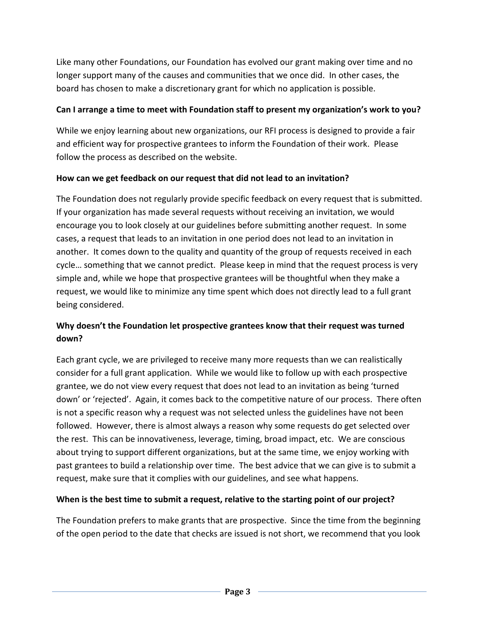Like many other Foundations, our Foundation has evolved our grant making over time and no longer support many of the causes and communities that we once did. In other cases, the board has chosen to make a discretionary grant for which no application is possible.

## **Can I arrange a time to meet with Foundation staff to present my organization's work to you?**

While we enjoy learning about new organizations, our RFI process is designed to provide a fair and efficient way for prospective grantees to inform the Foundation of their work. Please follow the process as described on the website.

## **How can we get feedback on our request that did not lead to an invitation?**

The Foundation does not regularly provide specific feedback on every request that is submitted. If your organization has made several requests without receiving an invitation, we would encourage you to look closely at our guidelines before submitting another request. In some cases, a request that leads to an invitation in one period does not lead to an invitation in another. It comes down to the quality and quantity of the group of requests received in each cycle… something that we cannot predict. Please keep in mind that the request process is very simple and, while we hope that prospective grantees will be thoughtful when they make a request, we would like to minimize any time spent which does not directly lead to a full grant being considered.

# **Why doesn't the Foundation let prospective grantees know that their request was turned down?**

Each grant cycle, we are privileged to receive many more requests than we can realistically consider for a full grant application. While we would like to follow up with each prospective grantee, we do not view every request that does not lead to an invitation as being 'turned down' or 'rejected'. Again, it comes back to the competitive nature of our process. There often is not a specific reason why a request was not selected unless the guidelines have not been followed. However, there is almost always a reason why some requests do get selected over the rest. This can be innovativeness, leverage, timing, broad impact, etc. We are conscious about trying to support different organizations, but at the same time, we enjoy working with past grantees to build a relationship over time. The best advice that we can give is to submit a request, make sure that it complies with our guidelines, and see what happens.

# **When is the best time to submit a request, relative to the starting point of our project?**

The Foundation prefers to make grants that are prospective. Since the time from the beginning of the open period to the date that checks are issued is not short, we recommend that you look